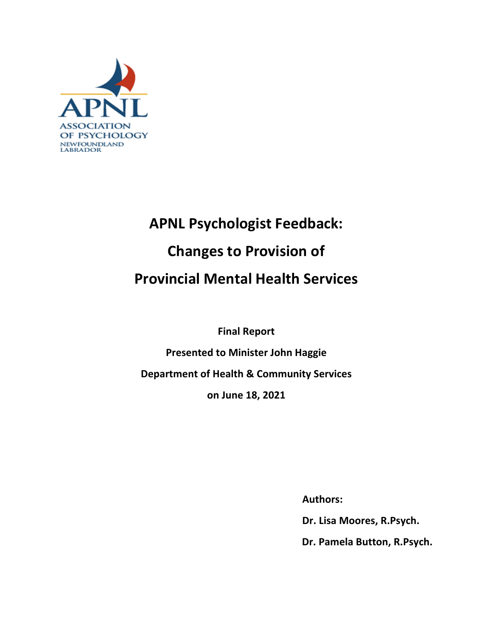

# **APNL Psychologist Feedback: Changes to Provision of Provincial Mental Health Services**

**Final Report Presented to Minister John Haggie Department of Health & Community Services on June 18, 2021** 

 **Authors:**

 **Dr. Lisa Moores, R.Psych.**

 **Dr. Pamela Button, R.Psych.**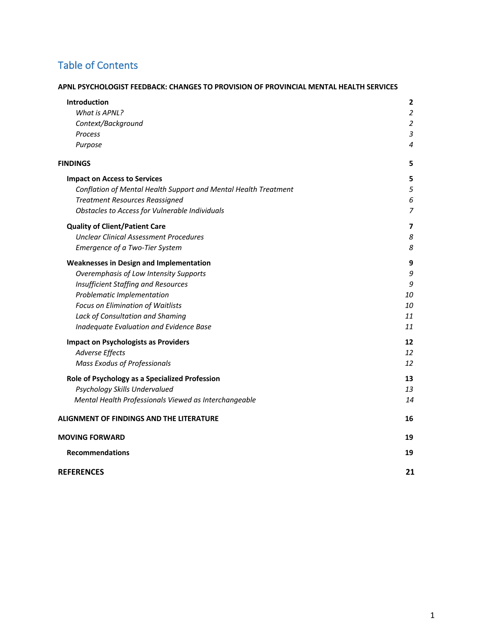# Table of Contents

#### **APNL PSYCHOLOGIST FEEDBACK: CHANGES TO PROVISION OF PROVINCIAL MENTAL HEALTH SERVICES**

| Introduction                                                    | $\overline{2}$           |
|-----------------------------------------------------------------|--------------------------|
| What is APNL?                                                   | 2                        |
| Context/Background                                              | $\overline{2}$           |
| Process                                                         | $\mathfrak{Z}$           |
| Purpose                                                         | 4                        |
| <b>FINDINGS</b>                                                 | 5                        |
| <b>Impact on Access to Services</b>                             | 5                        |
| Conflation of Mental Health Support and Mental Health Treatment | 5                        |
| <b>Treatment Resources Reassigned</b>                           | 6                        |
| Obstacles to Access for Vulnerable Individuals                  | $\overline{7}$           |
| <b>Quality of Client/Patient Care</b>                           | $\overline{\phantom{a}}$ |
| <b>Unclear Clinical Assessment Procedures</b>                   | 8                        |
| Emergence of a Two-Tier System                                  | 8                        |
| <b>Weaknesses in Design and Implementation</b>                  | 9                        |
| Overemphasis of Low Intensity Supports                          | 9                        |
| Insufficient Staffing and Resources                             | 9                        |
| Problematic Implementation                                      | 10                       |
| Focus on Elimination of Waitlists                               | 10                       |
| Lack of Consultation and Shaming                                | 11                       |
| Inadequate Evaluation and Evidence Base                         | 11                       |
| <b>Impact on Psychologists as Providers</b>                     | 12                       |
| <b>Adverse Effects</b>                                          | 12                       |
| <b>Mass Exodus of Professionals</b>                             | 12                       |
| Role of Psychology as a Specialized Profession                  | 13                       |
| Psychology Skills Undervalued                                   | 13                       |
| Mental Health Professionals Viewed as Interchangeable           | 14                       |
| ALIGNMENT OF FINDINGS AND THE LITERATURE                        | 16                       |
| <b>MOVING FORWARD</b>                                           | 19                       |
| <b>Recommendations</b>                                          | 19                       |
| <b>REFERENCES</b>                                               | 21                       |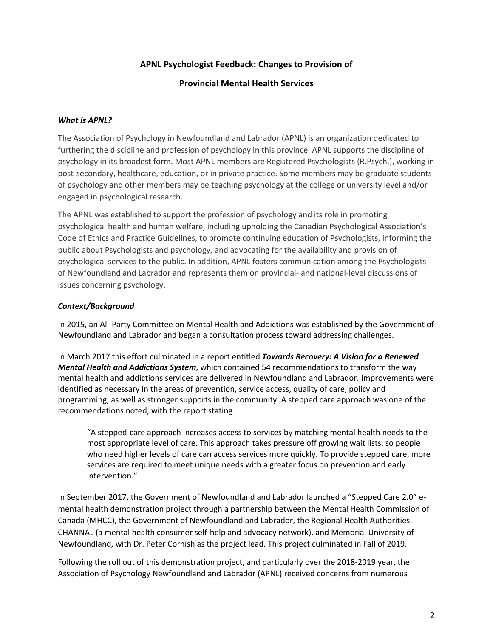# **APNL Psychologist Feedback: Changes to Provision of**

#### **Provincial Mental Health Services**

#### *What is APNL?*

The Association of Psychology in Newfoundland and Labrador (APNL) is an organization dedicated to furthering the discipline and profession of psychology in this province. APNL supports the discipline of psychology in its broadest form. Most APNL members are Registered Psychologists (R.Psych.), working in post-secondary, healthcare, education, or in private practice. Some members may be graduate students of psychology and other members may be teaching psychology at the college or university level and/or engaged in psychological research.

The APNL was established to support the profession of psychology and its role in promoting psychological health and human welfare, including upholding the Canadian Psychological Association's Code of Ethics and Practice Guidelines, to promote continuing education of Psychologists, informing the public about Psychologists and psychology, and advocating for the availability and provision of psychological services to the public. In addition, APNL fosters communication among the Psychologists of Newfoundland and Labrador and represents them on provincial- and national-level discussions of issues concerning psychology.

#### *Context/Background*

In 2015, an All-Party Committee on Mental Health and Addictions was established by the Government of Newfoundland and Labrador and began a consultation process toward addressing challenges.

In March 2017 this effort culminated in a report entitled *Towards Recovery: A Vision for a Renewed Mental Health and Addictions System*, which contained 54 recommendations to transform the way mental health and addictions services are delivered in Newfoundland and Labrador. Improvements were identified as necessary in the areas of prevention, service access, quality of care, policy and programming, as well as stronger supports in the community. A stepped care approach was one of the recommendations noted, with the report stating:

"A stepped-care approach increases access to services by matching mental health needs to the most appropriate level of care. This approach takes pressure off growing wait lists, so people who need higher levels of care can access services more quickly. To provide stepped care, more services are required to meet unique needs with a greater focus on prevention and early intervention."

In September 2017, the Government of Newfoundland and Labrador launched a "Stepped Care 2.0" emental health demonstration project through a partnership between the Mental Health Commission of Canada (MHCC), the Government of Newfoundland and Labrador, the Regional Health Authorities, CHANNAL (a mental health consumer self-help and advocacy network), and Memorial University of Newfoundland, with Dr. Peter Cornish as the project lead. This project culminated in Fall of 2019.

Following the roll out of this demonstration project, and particularly over the 2018-2019 year, the Association of Psychology Newfoundland and Labrador (APNL) received concerns from numerous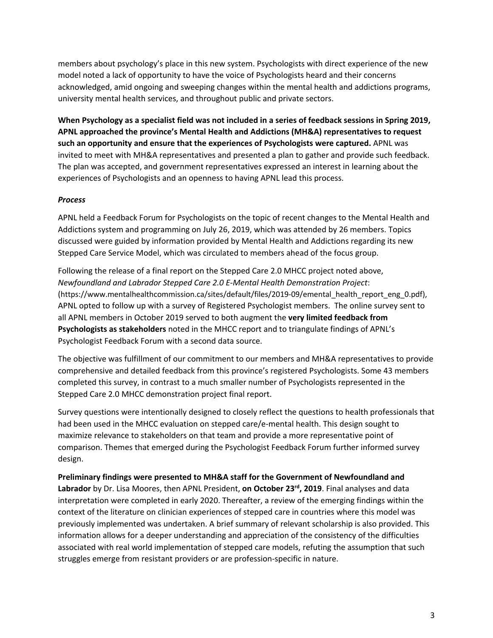members about psychology's place in this new system. Psychologists with direct experience of the new model noted a lack of opportunity to have the voice of Psychologists heard and their concerns acknowledged, amid ongoing and sweeping changes within the mental health and addictions programs, university mental health services, and throughout public and private sectors.

**When Psychology as a specialist field was not included in a series of feedback sessions in Spring 2019, APNL approached the province's Mental Health and Addictions (MH&A) representatives to request such an opportunity and ensure that the experiences of Psychologists were captured.** APNL was invited to meet with MH&A representatives and presented a plan to gather and provide such feedback. The plan was accepted, and government representatives expressed an interest in learning about the experiences of Psychologists and an openness to having APNL lead this process.

#### *Process*

APNL held a Feedback Forum for Psychologists on the topic of recent changes to the Mental Health and Addictions system and programming on July 26, 2019, which was attended by 26 members. Topics discussed were guided by information provided by Mental Health and Addictions regarding its new Stepped Care Service Model, which was circulated to members ahead of the focus group.

Following the release of a final report on the Stepped Care 2.0 MHCC project noted above, *Newfoundland and Labrador Stepped Care 2.0 E-Mental Health Demonstration Project*: (https://www.mentalhealthcommission.ca/sites/default/files/2019-09/emental\_health\_report\_eng\_0.pdf), APNL opted to follow up with a survey of Registered Psychologist members. The online survey sent to all APNL members in October 2019 served to both augment the **very limited feedback from Psychologists as stakeholders** noted in the MHCC report and to triangulate findings of APNL's Psychologist Feedback Forum with a second data source.

The objective was fulfillment of our commitment to our members and MH&A representatives to provide comprehensive and detailed feedback from this province's registered Psychologists. Some 43 members completed this survey, in contrast to a much smaller number of Psychologists represented in the Stepped Care 2.0 MHCC demonstration project final report.

Survey questions were intentionally designed to closely reflect the questions to health professionals that had been used in the MHCC evaluation on stepped care/e-mental health. This design sought to maximize relevance to stakeholders on that team and provide a more representative point of comparison. Themes that emerged during the Psychologist Feedback Forum further informed survey design.

#### **Preliminary findings were presented to MH&A staff for the Government of Newfoundland and**

**Labrador** by Dr. Lisa Moores, then APNL President, **on October 23rd, 2019**. Final analyses and data interpretation were completed in early 2020. Thereafter, a review of the emerging findings within the context of the literature on clinician experiences of stepped care in countries where this model was previously implemented was undertaken. A brief summary of relevant scholarship is also provided. This information allows for a deeper understanding and appreciation of the consistency of the difficulties associated with real world implementation of stepped care models, refuting the assumption that such struggles emerge from resistant providers or are profession-specific in nature.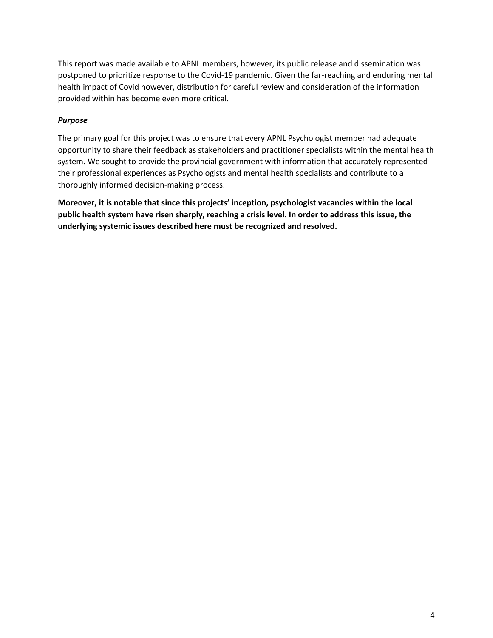This report was made available to APNL members, however, its public release and dissemination was postponed to prioritize response to the Covid-19 pandemic. Given the far-reaching and enduring mental health impact of Covid however, distribution for careful review and consideration of the information provided within has become even more critical.

#### *Purpose*

The primary goal for this project was to ensure that every APNL Psychologist member had adequate opportunity to share their feedback as stakeholders and practitioner specialists within the mental health system. We sought to provide the provincial government with information that accurately represented their professional experiences as Psychologists and mental health specialists and contribute to a thoroughly informed decision-making process.

**Moreover, it is notable that since this projects' inception, psychologist vacancies within the local public health system have risen sharply, reaching a crisis level. In order to address this issue, the underlying systemic issues described here must be recognized and resolved.**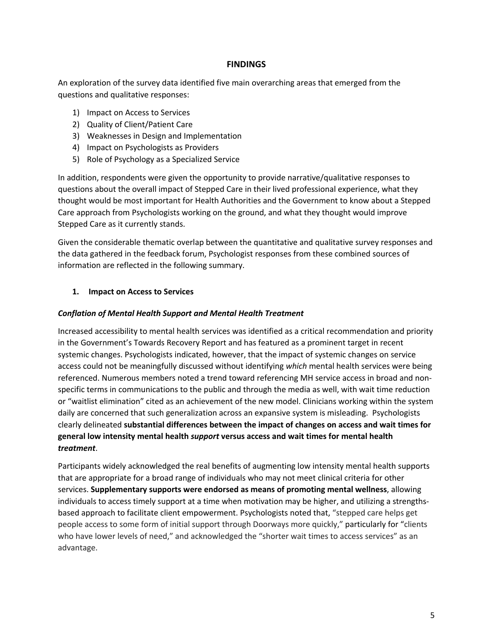#### **FINDINGS**

An exploration of the survey data identified five main overarching areas that emerged from the questions and qualitative responses:

- 1) Impact on Access to Services
- 2) Quality of Client/Patient Care
- 3) Weaknesses in Design and Implementation
- 4) Impact on Psychologists as Providers
- 5) Role of Psychology as a Specialized Service

In addition, respondents were given the opportunity to provide narrative/qualitative responses to questions about the overall impact of Stepped Care in their lived professional experience, what they thought would be most important for Health Authorities and the Government to know about a Stepped Care approach from Psychologists working on the ground, and what they thought would improve Stepped Care as it currently stands.

Given the considerable thematic overlap between the quantitative and qualitative survey responses and the data gathered in the feedback forum, Psychologist responses from these combined sources of information are reflected in the following summary.

#### **1. Impact on Access to Services**

#### *Conflation of Mental Health Support and Mental Health Treatment*

Increased accessibility to mental health services was identified as a critical recommendation and priority in the Government's Towards Recovery Report and has featured as a prominent target in recent systemic changes. Psychologists indicated, however, that the impact of systemic changes on service access could not be meaningfully discussed without identifying *which* mental health services were being referenced. Numerous members noted a trend toward referencing MH service access in broad and nonspecific terms in communications to the public and through the media as well, with wait time reduction or "waitlist elimination" cited as an achievement of the new model. Clinicians working within the system daily are concerned that such generalization across an expansive system is misleading. Psychologists clearly delineated **substantial differences between the impact of changes on access and wait times for general low intensity mental health** *support* **versus access and wait times for mental health** *treatment*.

Participants widely acknowledged the real benefits of augmenting low intensity mental health supports that are appropriate for a broad range of individuals who may not meet clinical criteria for other services. **Supplementary supports were endorsed as means of promoting mental wellness**, allowing individuals to access timely support at a time when motivation may be higher, and utilizing a strengthsbased approach to facilitate client empowerment. Psychologists noted that, "stepped care helps get people access to some form of initial support through Doorways more quickly," particularly for "clients who have lower levels of need," and acknowledged the "shorter wait times to access services" as an advantage.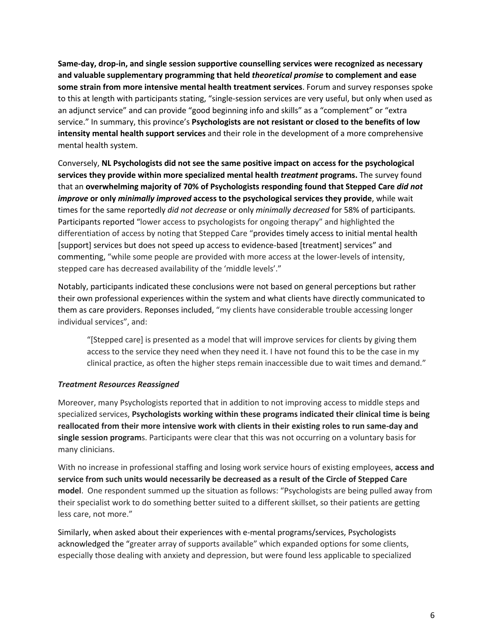**Same-day, drop-in, and single session supportive counselling services were recognized as necessary and valuable supplementary programming that held** *theoretical promise* **to complement and ease some strain from more intensive mental health treatment services**. Forum and survey responses spoke to this at length with participants stating, "single-session services are very useful, but only when used as an adjunct service" and can provide "good beginning info and skills" as a "complement" or "extra service." In summary, this province's **Psychologists are not resistant or closed to the benefits of low intensity mental health support services** and their role in the development of a more comprehensive mental health system.

Conversely, **NL Psychologists did not see the same positive impact on access for the psychological services they provide within more specialized mental health** *treatment* **programs.** The survey found that an **overwhelming majority of 70% of Psychologists responding found that Stepped Care** *did not improve* **or only** *minimally improved* **access to the psychological services they provide**, while wait times for the same reportedly *did not decrease* or only *minimally decreased* for 58% of participants*.* Participants reported "lower access to psychologists for ongoing therapy" and highlighted the differentiation of access by noting that Stepped Care "provides timely access to initial mental health [support] services but does not speed up access to evidence-based [treatment] services" and commenting, "while some people are provided with more access at the lower-levels of intensity, stepped care has decreased availability of the 'middle levels'."

Notably, participants indicated these conclusions were not based on general perceptions but rather their own professional experiences within the system and what clients have directly communicated to them as care providers. Reponses included, "my clients have considerable trouble accessing longer individual services", and:

"[Stepped care] is presented as a model that will improve services for clients by giving them access to the service they need when they need it. I have not found this to be the case in my clinical practice, as often the higher steps remain inaccessible due to wait times and demand."

#### *Treatment Resources Reassigned*

Moreover, many Psychologists reported that in addition to not improving access to middle steps and specialized services, **Psychologists working within these programs indicated their clinical time is being reallocated from their more intensive work with clients in their existing roles to run same-day and single session program**s. Participants were clear that this was not occurring on a voluntary basis for many clinicians.

With no increase in professional staffing and losing work service hours of existing employees, **access and service from such units would necessarily be decreased as a result of the Circle of Stepped Care model**. One respondent summed up the situation as follows: "Psychologists are being pulled away from their specialist work to do something better suited to a different skillset, so their patients are getting less care, not more."

Similarly, when asked about their experiences with e-mental programs/services, Psychologists acknowledged the "greater array of supports available" which expanded options for some clients, especially those dealing with anxiety and depression, but were found less applicable to specialized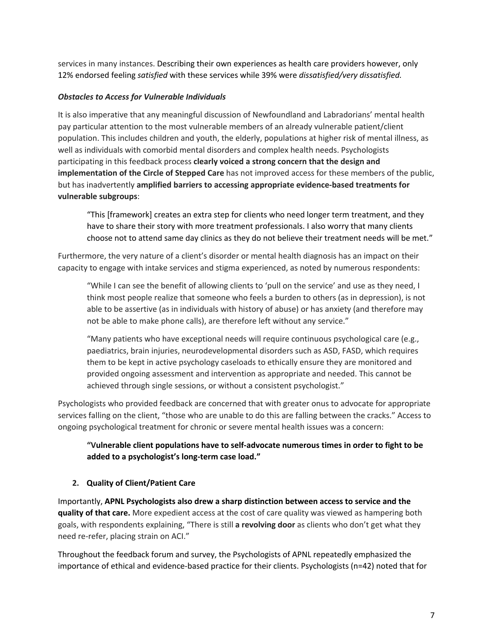services in many instances. Describing their own experiences as health care providers however, only 12% endorsed feeling *satisfied* with these services while 39% were *dissatisfied/very dissatisfied.*

#### *Obstacles to Access for Vulnerable Individuals*

It is also imperative that any meaningful discussion of Newfoundland and Labradorians' mental health pay particular attention to the most vulnerable members of an already vulnerable patient/client population. This includes children and youth, the elderly, populations at higher risk of mental illness, as well as individuals with comorbid mental disorders and complex health needs. Psychologists participating in this feedback process **clearly voiced a strong concern that the design and implementation of the Circle of Stepped Care** has not improved access for these members of the public, but has inadvertently **amplified barriers to accessing appropriate evidence-based treatments for vulnerable subgroups**:

"This [framework] creates an extra step for clients who need longer term treatment, and they have to share their story with more treatment professionals. I also worry that many clients choose not to attend same day clinics as they do not believe their treatment needs will be met."

Furthermore, the very nature of a client's disorder or mental health diagnosis has an impact on their capacity to engage with intake services and stigma experienced, as noted by numerous respondents:

"While I can see the benefit of allowing clients to 'pull on the service' and use as they need, I think most people realize that someone who feels a burden to others (as in depression), is not able to be assertive (as in individuals with history of abuse) or has anxiety (and therefore may not be able to make phone calls), are therefore left without any service."

"Many patients who have exceptional needs will require continuous psychological care (e.g., paediatrics, brain injuries, neurodevelopmental disorders such as ASD, FASD, which requires them to be kept in active psychology caseloads to ethically ensure they are monitored and provided ongoing assessment and intervention as appropriate and needed. This cannot be achieved through single sessions, or without a consistent psychologist."

Psychologists who provided feedback are concerned that with greater onus to advocate for appropriate services falling on the client, "those who are unable to do this are falling between the cracks." Access to ongoing psychological treatment for chronic or severe mental health issues was a concern:

# **"Vulnerable client populations have to self-advocate numerous times in order to fight to be added to a psychologist's long-term case load."**

#### **2. Quality of Client/Patient Care**

Importantly, **APNL Psychologists also drew a sharp distinction between access to service and the quality of that care.** More expedient access at the cost of care quality was viewed as hampering both goals, with respondents explaining, "There is still **a revolving door** as clients who don't get what they need re-refer, placing strain on ACI."

Throughout the feedback forum and survey, the Psychologists of APNL repeatedly emphasized the importance of ethical and evidence-based practice for their clients. Psychologists (n=42) noted that for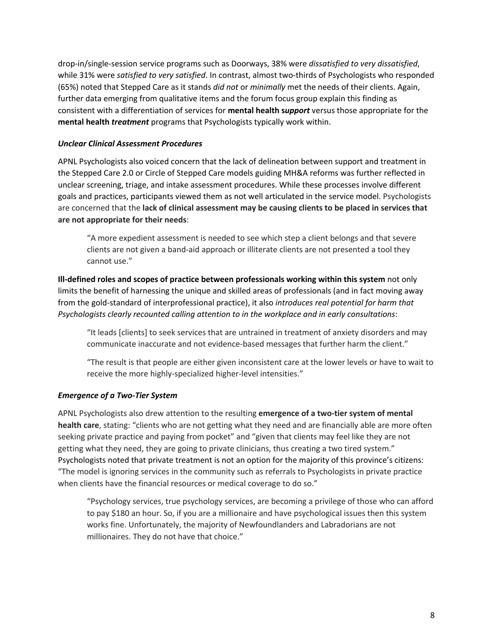drop-in/single-session service programs such as Doorways, 38% were *dissatisfied to very dissatisfied*, while 31% were *satisfied to very satisfied*. In contrast, almost two-thirds of Psychologists who responded (65%) noted that Stepped Care as it stands *did not* or *minimally* met the needs of their clients. Again, further data emerging from qualitative items and the forum focus group explain this finding as consistent with a differentiation of services for **mental health s***upport* versus those appropriate for the **mental health** *treatment* programs that Psychologists typically work within.

#### *Unclear Clinical Assessment Procedures*

APNL Psychologists also voiced concern that the lack of delineation between support and treatment in the Stepped Care 2.0 or Circle of Stepped Care models guiding MH&A reforms was further reflected in unclear screening, triage, and intake assessment procedures. While these processes involve different goals and practices, participants viewed them as not well articulated in the service model. Psychologists are concerned that the **lack of clinical assessment may be causing clients to be placed in services that are not appropriate for their needs**:

"A more expedient assessment is needed to see which step a client belongs and that severe clients are not given a band-aid approach or illiterate clients are not presented a tool they cannot use."

**Ill-defined roles and scopes of practice between professionals working within this system** not only limits the benefit of harnessing the unique and skilled areas of professionals (and in fact moving away from the gold-standard of interprofessional practice), it also *introduces real potential for harm that Psychologists clearly recounted calling attention to in the workplace and in early consultations*:

"It leads [clients] to seek services that are untrained in treatment of anxiety disorders and may communicate inaccurate and not evidence-based messages that further harm the client."

"The result is that people are either given inconsistent care at the lower levels or have to wait to receive the more highly-specialized higher-level intensities."

#### *Emergence of a Two-Tier System*

APNL Psychologists also drew attention to the resulting **emergence of a two-tier system of mental health care**, stating: "clients who are not getting what they need and are financially able are more often seeking private practice and paying from pocket" and "given that clients may feel like they are not getting what they need, they are going to private clinicians, thus creating a two tired system." Psychologists noted that private treatment is not an option for the majority of this province's citizens: "The model is ignoring services in the community such as referrals to Psychologists in private practice when clients have the financial resources or medical coverage to do so."

"Psychology services, true psychology services, are becoming a privilege of those who can afford to pay \$180 an hour. So, if you are a millionaire and have psychological issues then this system works fine. Unfortunately, the majority of Newfoundlanders and Labradorians are not millionaires. They do not have that choice."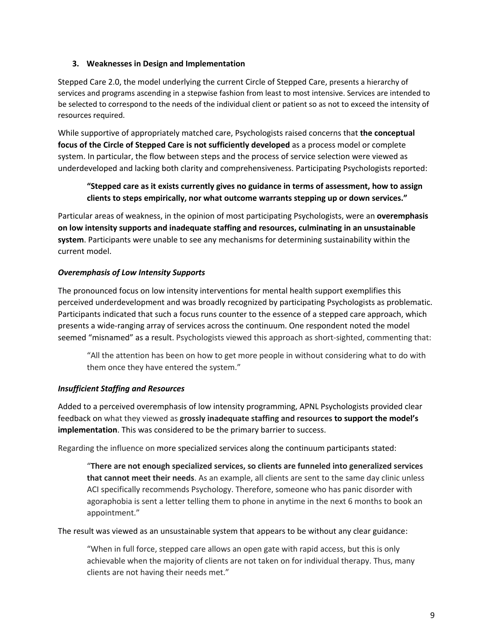#### **3. Weaknesses in Design and Implementation**

Stepped Care 2.0, the model underlying the current Circle of Stepped Care, presents a hierarchy of services and programs ascending in a stepwise fashion from least to most intensive. Services are intended to be selected to correspond to the needs of the individual client or patient so as not to exceed the intensity of resources required.

While supportive of appropriately matched care, Psychologists raised concerns that **the conceptual focus of the Circle of Stepped Care is not sufficiently developed** as a process model or complete system. In particular, the flow between steps and the process of service selection were viewed as underdeveloped and lacking both clarity and comprehensiveness. Participating Psychologists reported:

# **"Stepped care as it exists currently gives no guidance in terms of assessment, how to assign clients to steps empirically, nor what outcome warrants stepping up or down services."**

Particular areas of weakness, in the opinion of most participating Psychologists, were an **overemphasis on low intensity supports and inadequate staffing and resources, culminating in an unsustainable system**. Participants were unable to see any mechanisms for determining sustainability within the current model.

#### *Overemphasis of Low Intensity Supports*

The pronounced focus on low intensity interventions for mental health support exemplifies this perceived underdevelopment and was broadly recognized by participating Psychologists as problematic. Participants indicated that such a focus runs counter to the essence of a stepped care approach, which presents a wide-ranging array of services across the continuum. One respondent noted the model seemed "misnamed" as a result. Psychologists viewed this approach as short-sighted, commenting that:

"All the attention has been on how to get more people in without considering what to do with them once they have entered the system."

#### *Insufficient Staffing and Resources*

Added to a perceived overemphasis of low intensity programming, APNL Psychologists provided clear feedback on what they viewed as **grossly inadequate staffing and resources to support the model's implementation**. This was considered to be the primary barrier to success.

Regarding the influence on more specialized services along the continuum participants stated:

"**There are not enough specialized services, so clients are funneled into generalized services that cannot meet their needs**. As an example, all clients are sent to the same day clinic unless ACI specifically recommends Psychology. Therefore, someone who has panic disorder with agoraphobia is sent a letter telling them to phone in anytime in the next 6 months to book an appointment."

The result was viewed as an unsustainable system that appears to be without any clear guidance:

"When in full force, stepped care allows an open gate with rapid access, but this is only achievable when the majority of clients are not taken on for individual therapy. Thus, many clients are not having their needs met."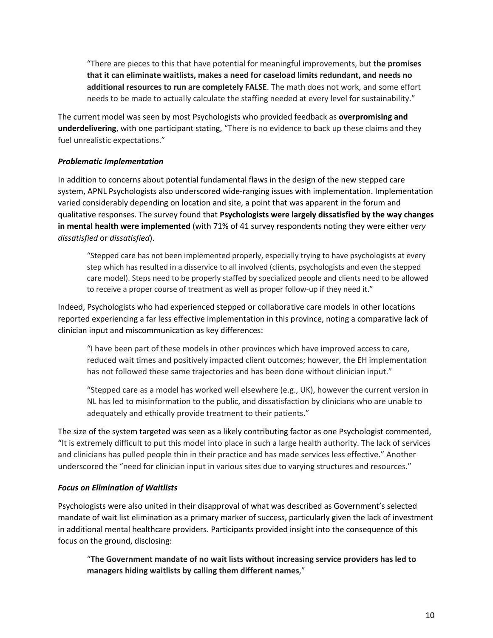"There are pieces to this that have potential for meaningful improvements, but **the promises that it can eliminate waitlists, makes a need for caseload limits redundant, and needs no additional resources to run are completely FALSE**. The math does not work, and some effort needs to be made to actually calculate the staffing needed at every level for sustainability."

The current model was seen by most Psychologists who provided feedback as **overpromising and underdelivering**, with one participant stating, "There is no evidence to back up these claims and they fuel unrealistic expectations."

#### *Problematic Implementation*

In addition to concerns about potential fundamental flaws in the design of the new stepped care system, APNL Psychologists also underscored wide-ranging issues with implementation. Implementation varied considerably depending on location and site, a point that was apparent in the forum and qualitative responses. The survey found that **Psychologists were largely dissatisfied by the way changes in mental health were implemented** (with 71% of 41 survey respondents noting they were either *very dissatisfied* or *dissatisfied*).

"Stepped care has not been implemented properly, especially trying to have psychologists at every step which has resulted in a disservice to all involved (clients, psychologists and even the stepped care model). Steps need to be properly staffed by specialized people and clients need to be allowed to receive a proper course of treatment as well as proper follow-up if they need it."

Indeed, Psychologists who had experienced stepped or collaborative care models in other locations reported experiencing a far less effective implementation in this province, noting a comparative lack of clinician input and miscommunication as key differences:

"I have been part of these models in other provinces which have improved access to care, reduced wait times and positively impacted client outcomes; however, the EH implementation has not followed these same trajectories and has been done without clinician input."

"Stepped care as a model has worked well elsewhere (e.g., UK), however the current version in NL has led to misinformation to the public, and dissatisfaction by clinicians who are unable to adequately and ethically provide treatment to their patients."

The size of the system targeted was seen as a likely contributing factor as one Psychologist commented, "It is extremely difficult to put this model into place in such a large health authority. The lack of services and clinicians has pulled people thin in their practice and has made services less effective." Another underscored the "need for clinician input in various sites due to varying structures and resources."

#### *Focus on Elimination of Waitlists*

Psychologists were also united in their disapproval of what was described as Government's selected mandate of wait list elimination as a primary marker of success, particularly given the lack of investment in additional mental healthcare providers. Participants provided insight into the consequence of this focus on the ground, disclosing:

"**The Government mandate of no wait lists without increasing service providers has led to managers hiding waitlists by calling them different names**,"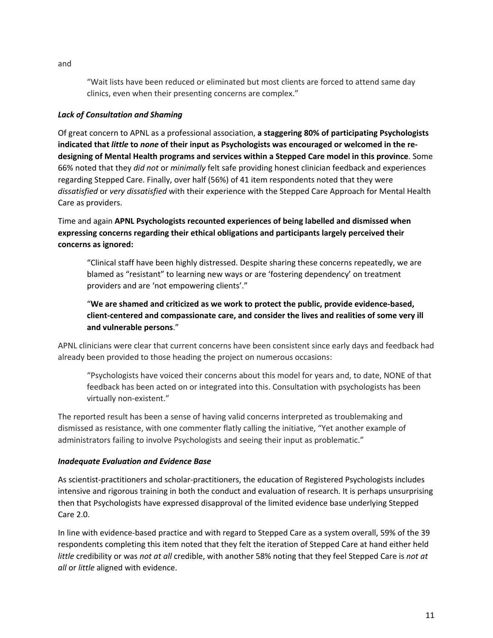"Wait lists have been reduced or eliminated but most clients are forced to attend same day clinics, even when their presenting concerns are complex."

#### *Lack of Consultation and Shaming*

Of great concern to APNL as a professional association, **a staggering 80% of participating Psychologists indicated that** *little* **to** *none* **of their input as Psychologists was encouraged or welcomed in the redesigning of Mental Health programs and services within a Stepped Care model in this province**. Some 66% noted that they *did not* or *minimally* felt safe providing honest clinician feedback and experiences regarding Stepped Care. Finally, over half (56%) of 41 item respondents noted that they were *dissatisfied* or *very dissatisfied* with their experience with the Stepped Care Approach for Mental Health Care as providers.

Time and again **APNL Psychologists recounted experiences of being labelled and dismissed when expressing concerns regarding their ethical obligations and participants largely perceived their concerns as ignored:**

"Clinical staff have been highly distressed. Despite sharing these concerns repeatedly, we are blamed as "resistant" to learning new ways or are 'fostering dependency' on treatment providers and are 'not empowering clients'."

"**We are shamed and criticized as we work to protect the public, provide evidence-based, client-centered and compassionate care, and consider the lives and realities of some very ill and vulnerable persons**."

APNL clinicians were clear that current concerns have been consistent since early days and feedback had already been provided to those heading the project on numerous occasions:

"Psychologists have voiced their concerns about this model for years and, to date, NONE of that feedback has been acted on or integrated into this. Consultation with psychologists has been virtually non-existent."

The reported result has been a sense of having valid concerns interpreted as troublemaking and dismissed as resistance, with one commenter flatly calling the initiative, "Yet another example of administrators failing to involve Psychologists and seeing their input as problematic."

#### *Inadequate Evaluation and Evidence Base*

As scientist-practitioners and scholar-practitioners, the education of Registered Psychologists includes intensive and rigorous training in both the conduct and evaluation of research. It is perhaps unsurprising then that Psychologists have expressed disapproval of the limited evidence base underlying Stepped Care 2.0.

In line with evidence-based practice and with regard to Stepped Care as a system overall, 59% of the 39 respondents completing this item noted that they felt the iteration of Stepped Care at hand either held *little* credibility or was *not at all* credible, with another 58% noting that they feel Stepped Care is *not at all* or *little* aligned with evidence.

and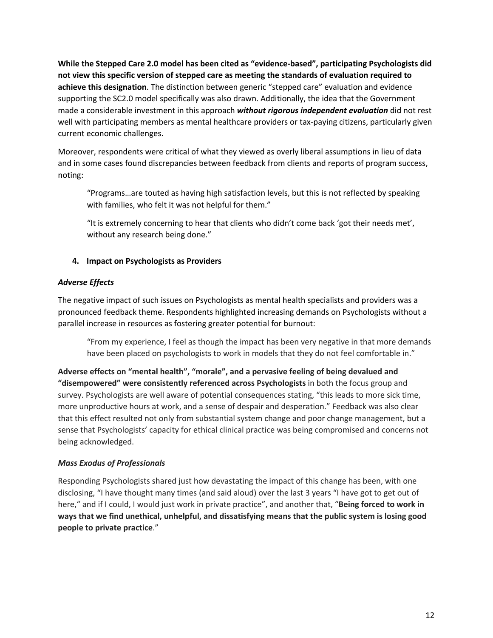**While the Stepped Care 2.0 model has been cited as "evidence-based", participating Psychologists did not view this specific version of stepped care as meeting the standards of evaluation required to achieve this designation**. The distinction between generic "stepped care" evaluation and evidence supporting the SC2.0 model specifically was also drawn. Additionally, the idea that the Government made a considerable investment in this approach *without rigorous independent evaluation* did not rest well with participating members as mental healthcare providers or tax-paying citizens, particularly given current economic challenges.

Moreover, respondents were critical of what they viewed as overly liberal assumptions in lieu of data and in some cases found discrepancies between feedback from clients and reports of program success, noting:

"Programs…are touted as having high satisfaction levels, but this is not reflected by speaking with families, who felt it was not helpful for them."

"It is extremely concerning to hear that clients who didn't come back 'got their needs met', without any research being done."

#### **4. Impact on Psychologists as Providers**

#### *Adverse Effects*

The negative impact of such issues on Psychologists as mental health specialists and providers was a pronounced feedback theme. Respondents highlighted increasing demands on Psychologists without a parallel increase in resources as fostering greater potential for burnout:

"From my experience, I feel as though the impact has been very negative in that more demands have been placed on psychologists to work in models that they do not feel comfortable in."

**Adverse effects on "mental health", "morale", and a pervasive feeling of being devalued and "disempowered" were consistently referenced across Psychologists** in both the focus group and survey. Psychologists are well aware of potential consequences stating, "this leads to more sick time, more unproductive hours at work, and a sense of despair and desperation." Feedback was also clear that this effect resulted not only from substantial system change and poor change management, but a sense that Psychologists' capacity for ethical clinical practice was being compromised and concerns not being acknowledged.

# *Mass Exodus of Professionals*

Responding Psychologists shared just how devastating the impact of this change has been, with one disclosing, "I have thought many times (and said aloud) over the last 3 years "I have got to get out of here," and if I could, I would just work in private practice", and another that, "**Being forced to work in ways that we find unethical, unhelpful, and dissatisfying means that the public system is losing good people to private practice**."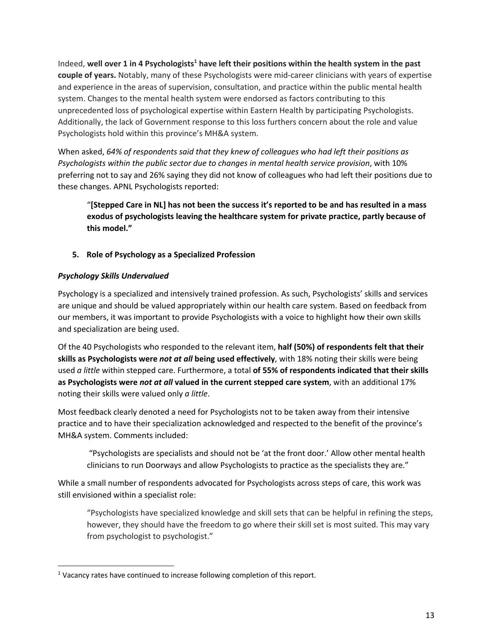Indeed, well over 1 in 4 Psychologists<sup>1</sup> have left their positions within the health system in the past **couple of years.** Notably, many of these Psychologists were mid-career clinicians with years of expertise and experience in the areas of supervision, consultation, and practice within the public mental health system. Changes to the mental health system were endorsed as factors contributing to this unprecedented loss of psychological expertise within Eastern Health by participating Psychologists. Additionally, the lack of Government response to this loss furthers concern about the role and value Psychologists hold within this province's MH&A system.

When asked, *64% of respondents said that they knew of colleagues who had left their positions as Psychologists within the public sector due to changes in mental health service provision*, with 10% preferring not to say and 26% saying they did not know of colleagues who had left their positions due to these changes. APNL Psychologists reported:

"**[Stepped Care in NL] has not been the success it's reported to be and has resulted in a mass exodus of psychologists leaving the healthcare system for private practice, partly because of this model."**

# **5. Role of Psychology as a Specialized Profession**

#### *Psychology Skills Undervalued*

Psychology is a specialized and intensively trained profession. As such, Psychologists' skills and services are unique and should be valued appropriately within our health care system. Based on feedback from our members, it was important to provide Psychologists with a voice to highlight how their own skills and specialization are being used.

Of the 40 Psychologists who responded to the relevant item, **half (50%) of respondents felt that their skills as Psychologists were** *not at all* **being used effectively**, with 18% noting their skills were being used *a little* within stepped care. Furthermore, a total **of 55% of respondents indicated that their skills as Psychologists were** *not at all* **valued in the current stepped care system**, with an additional 17% noting their skills were valued only *a little*.

Most feedback clearly denoted a need for Psychologists not to be taken away from their intensive practice and to have their specialization acknowledged and respected to the benefit of the province's MH&A system. Comments included:

"Psychologists are specialists and should not be 'at the front door.' Allow other mental health clinicians to run Doorways and allow Psychologists to practice as the specialists they are."

While a small number of respondents advocated for Psychologists across steps of care, this work was still envisioned within a specialist role:

"Psychologists have specialized knowledge and skill sets that can be helpful in refining the steps, however, they should have the freedom to go where their skill set is most suited. This may vary from psychologist to psychologist."

 $1$  Vacancy rates have continued to increase following completion of this report.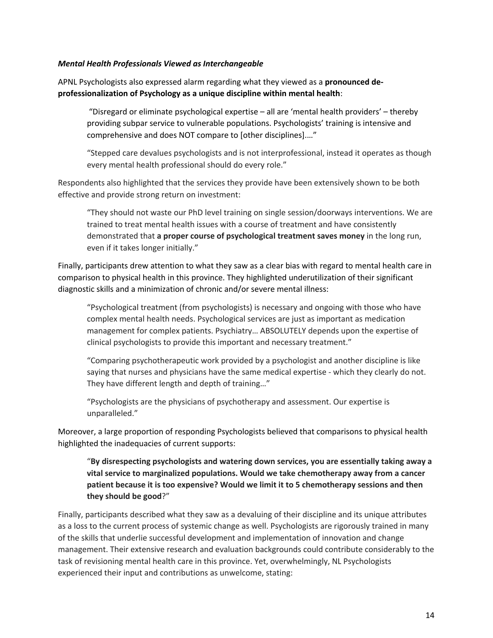#### *Mental Health Professionals Viewed as Interchangeable*

APNL Psychologists also expressed alarm regarding what they viewed as a **pronounced deprofessionalization of Psychology as a unique discipline within mental health**:

"Disregard or eliminate psychological expertise – all are 'mental health providers' – thereby providing subpar service to vulnerable populations. Psychologists' training is intensive and comprehensive and does NOT compare to [other disciplines].…"

"Stepped care devalues psychologists and is not interprofessional, instead it operates as though every mental health professional should do every role."

Respondents also highlighted that the services they provide have been extensively shown to be both effective and provide strong return on investment:

"They should not waste our PhD level training on single session/doorways interventions. We are trained to treat mental health issues with a course of treatment and have consistently demonstrated that **a proper course of psychological treatment saves money** in the long run, even if it takes longer initially."

Finally, participants drew attention to what they saw as a clear bias with regard to mental health care in comparison to physical health in this province. They highlighted underutilization of their significant diagnostic skills and a minimization of chronic and/or severe mental illness:

"Psychological treatment (from psychologists) is necessary and ongoing with those who have complex mental health needs. Psychological services are just as important as medication management for complex patients. Psychiatry… ABSOLUTELY depends upon the expertise of clinical psychologists to provide this important and necessary treatment."

"Comparing psychotherapeutic work provided by a psychologist and another discipline is like saying that nurses and physicians have the same medical expertise - which they clearly do not. They have different length and depth of training…"

"Psychologists are the physicians of psychotherapy and assessment. Our expertise is unparalleled."

Moreover, a large proportion of responding Psychologists believed that comparisons to physical health highlighted the inadequacies of current supports:

"**By disrespecting psychologists and watering down services, you are essentially taking away a vital service to marginalized populations. Would we take chemotherapy away from a cancer patient because it is too expensive? Would we limit it to 5 chemotherapy sessions and then they should be good**?"

Finally, participants described what they saw as a devaluing of their discipline and its unique attributes as a loss to the current process of systemic change as well. Psychologists are rigorously trained in many of the skills that underlie successful development and implementation of innovation and change management. Their extensive research and evaluation backgrounds could contribute considerably to the task of revisioning mental health care in this province. Yet, overwhelmingly, NL Psychologists experienced their input and contributions as unwelcome, stating: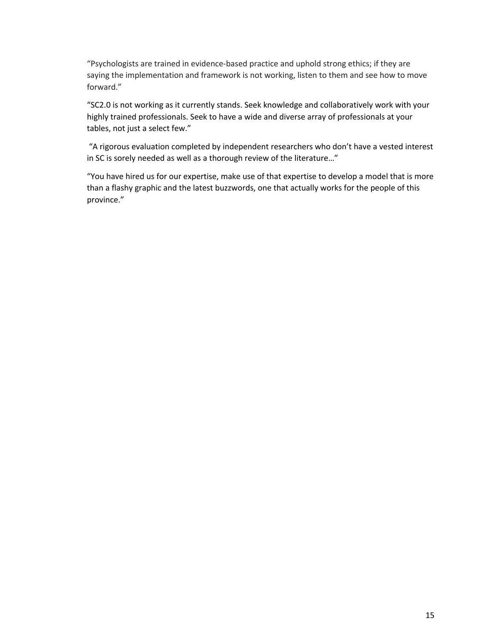"Psychologists are trained in evidence-based practice and uphold strong ethics; if they are saying the implementation and framework is not working, listen to them and see how to move forward."

"SC2.0 is not working as it currently stands. Seek knowledge and collaboratively work with your highly trained professionals. Seek to have a wide and diverse array of professionals at your tables, not just a select few."

"A rigorous evaluation completed by independent researchers who don't have a vested interest in SC is sorely needed as well as a thorough review of the literature…"

"You have hired us for our expertise, make use of that expertise to develop a model that is more than a flashy graphic and the latest buzzwords, one that actually works for the people of this province."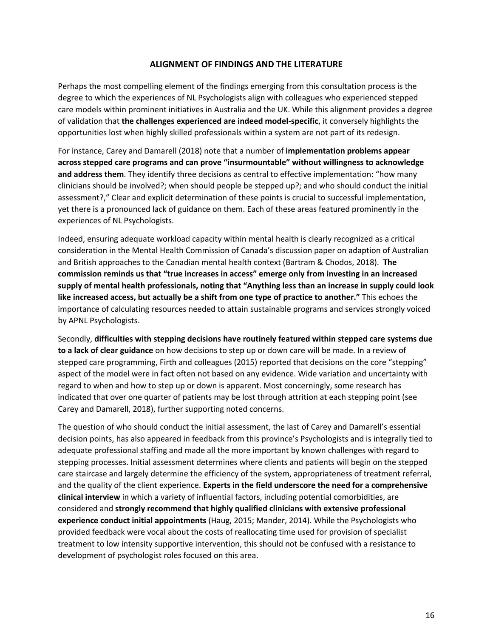#### **ALIGNMENT OF FINDINGS AND THE LITERATURE**

Perhaps the most compelling element of the findings emerging from this consultation process is the degree to which the experiences of NL Psychologists align with colleagues who experienced stepped care models within prominent initiatives in Australia and the UK. While this alignment provides a degree of validation that **the challenges experienced are indeed model-specific**, it conversely highlights the opportunities lost when highly skilled professionals within a system are not part of its redesign.

For instance, Carey and Damarell (2018) note that a number of **implementation problems appear across stepped care programs and can prove "insurmountable" without willingness to acknowledge and address them**. They identify three decisions as central to effective implementation: "how many clinicians should be involved?; when should people be stepped up?; and who should conduct the initial assessment?," Clear and explicit determination of these points is crucial to successful implementation, yet there is a pronounced lack of guidance on them. Each of these areas featured prominently in the experiences of NL Psychologists.

Indeed, ensuring adequate workload capacity within mental health is clearly recognized as a critical consideration in the Mental Health Commission of Canada's discussion paper on adaption of Australian and British approaches to the Canadian mental health context (Bartram & Chodos, 2018). **The commission reminds us that "true increases in access" emerge only from investing in an increased supply of mental health professionals, noting that "Anything less than an increase in supply could look like increased access, but actually be a shift from one type of practice to another."** This echoes the importance of calculating resources needed to attain sustainable programs and services strongly voiced by APNL Psychologists.

Secondly, **difficulties with stepping decisions have routinely featured within stepped care systems due to a lack of clear guidance** on how decisions to step up or down care will be made. In a review of stepped care programming, Firth and colleagues (2015) reported that decisions on the core "stepping" aspect of the model were in fact often not based on any evidence. Wide variation and uncertainty with regard to when and how to step up or down is apparent. Most concerningly, some research has indicated that over one quarter of patients may be lost through attrition at each stepping point (see Carey and Damarell, 2018), further supporting noted concerns.

The question of who should conduct the initial assessment, the last of Carey and Damarell's essential decision points, has also appeared in feedback from this province's Psychologists and is integrally tied to adequate professional staffing and made all the more important by known challenges with regard to stepping processes. Initial assessment determines where clients and patients will begin on the stepped care staircase and largely determine the efficiency of the system, appropriateness of treatment referral, and the quality of the client experience. **Experts in the field underscore the need for a comprehensive clinical interview** in which a variety of influential factors, including potential comorbidities, are considered and **strongly recommend that highly qualified clinicians with extensive professional experience conduct initial appointments** (Haug, 2015; Mander, 2014). While the Psychologists who provided feedback were vocal about the costs of reallocating time used for provision of specialist treatment to low intensity supportive intervention, this should not be confused with a resistance to development of psychologist roles focused on this area.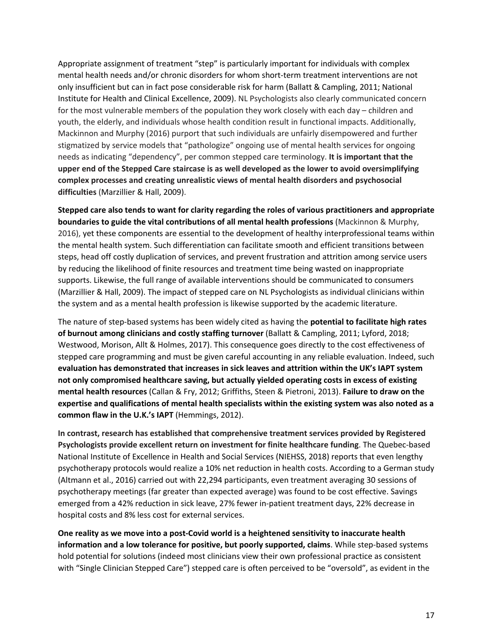Appropriate assignment of treatment "step" is particularly important for individuals with complex mental health needs and/or chronic disorders for whom short-term treatment interventions are not only insufficient but can in fact pose considerable risk for harm (Ballatt & Campling, 2011; National Institute for Health and Clinical Excellence, 2009). NL Psychologists also clearly communicated concern for the most vulnerable members of the population they work closely with each day – children and youth, the elderly, and individuals whose health condition result in functional impacts. Additionally, Mackinnon and Murphy (2016) purport that such individuals are unfairly disempowered and further stigmatized by service models that "pathologize" ongoing use of mental health services for ongoing needs as indicating "dependency", per common stepped care terminology. **It is important that the upper end of the Stepped Care staircase is as well developed as the lower to avoid oversimplifying complex processes and creating unrealistic views of mental health disorders and psychosocial difficulties** (Marzillier & Hall, 2009).

**Stepped care also tends to want for clarity regarding the roles of various practitioners and appropriate boundaries to guide the vital contributions of all mental health professions** (Mackinnon & Murphy, 2016), yet these components are essential to the development of healthy interprofessional teams within the mental health system. Such differentiation can facilitate smooth and efficient transitions between steps, head off costly duplication of services, and prevent frustration and attrition among service users by reducing the likelihood of finite resources and treatment time being wasted on inappropriate supports. Likewise, the full range of available interventions should be communicated to consumers (Marzillier & Hall, 2009). The impact of stepped care on NL Psychologists as individual clinicians within the system and as a mental health profession is likewise supported by the academic literature.

The nature of step-based systems has been widely cited as having the **potential to facilitate high rates of burnout among clinicians and costly staffing turnover** (Ballatt & Campling, 2011; Lyford, 2018; Westwood, Morison, Allt & Holmes, 2017). This consequence goes directly to the cost effectiveness of stepped care programming and must be given careful accounting in any reliable evaluation. Indeed, such **evaluation has demonstrated that increases in sick leaves and attrition within the UK's IAPT system not only compromised healthcare saving, but actually yielded operating costs in excess of existing mental health resources** (Callan & Fry, 2012; Griffiths, Steen & Pietroni, 2013). **Failure to draw on the expertise and qualifications of mental health specialists within the existing system was also noted as a common flaw in the U.K.'s IAPT** (Hemmings, 2012).

**In contrast, research has established that comprehensive treatment services provided by Registered Psychologists provide excellent return on investment for finite healthcare funding**. The Quebec-based National Institute of Excellence in Health and Social Services (NIEHSS, 2018) reports that even lengthy psychotherapy protocols would realize a 10% net reduction in health costs. According to a German study (Altmann et al., 2016) carried out with 22,294 participants, even treatment averaging 30 sessions of psychotherapy meetings (far greater than expected average) was found to be cost effective. Savings emerged from a 42% reduction in sick leave, 27% fewer in-patient treatment days, 22% decrease in hospital costs and 8% less cost for external services.

**One reality as we move into a post-Covid world is a heightened sensitivity to inaccurate health information and a low tolerance for positive, but poorly supported, claims**. While step-based systems hold potential for solutions (indeed most clinicians view their own professional practice as consistent with "Single Clinician Stepped Care") stepped care is often perceived to be "oversold", as evident in the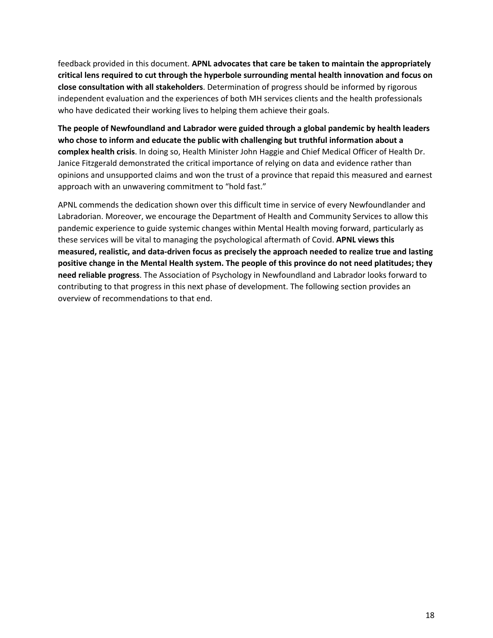feedback provided in this document. **APNL advocates that care be taken to maintain the appropriately critical lens required to cut through the hyperbole surrounding mental health innovation and focus on close consultation with all stakeholders**. Determination of progress should be informed by rigorous independent evaluation and the experiences of both MH services clients and the health professionals who have dedicated their working lives to helping them achieve their goals.

**The people of Newfoundland and Labrador were guided through a global pandemic by health leaders who chose to inform and educate the public with challenging but truthful information about a complex health crisis**. In doing so, Health Minister John Haggie and Chief Medical Officer of Health Dr. Janice Fitzgerald demonstrated the critical importance of relying on data and evidence rather than opinions and unsupported claims and won the trust of a province that repaid this measured and earnest approach with an unwavering commitment to "hold fast."

APNL commends the dedication shown over this difficult time in service of every Newfoundlander and Labradorian. Moreover, we encourage the Department of Health and Community Services to allow this pandemic experience to guide systemic changes within Mental Health moving forward, particularly as these services will be vital to managing the psychological aftermath of Covid. **APNL views this measured, realistic, and data-driven focus as precisely the approach needed to realize true and lasting positive change in the Mental Health system. The people of this province do not need platitudes; they need reliable progress**. The Association of Psychology in Newfoundland and Labrador looks forward to contributing to that progress in this next phase of development. The following section provides an overview of recommendations to that end.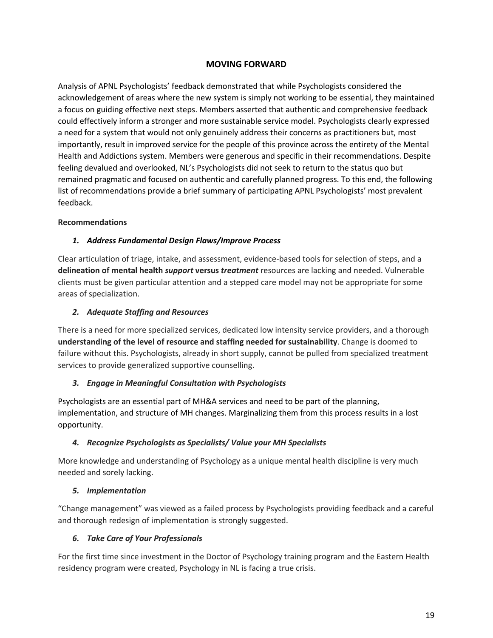# **MOVING FORWARD**

Analysis of APNL Psychologists' feedback demonstrated that while Psychologists considered the acknowledgement of areas where the new system is simply not working to be essential, they maintained a focus on guiding effective next steps. Members asserted that authentic and comprehensive feedback could effectively inform a stronger and more sustainable service model. Psychologists clearly expressed a need for a system that would not only genuinely address their concerns as practitioners but, most importantly, result in improved service for the people of this province across the entirety of the Mental Health and Addictions system. Members were generous and specific in their recommendations. Despite feeling devalued and overlooked, NL's Psychologists did not seek to return to the status quo but remained pragmatic and focused on authentic and carefully planned progress. To this end, the following list of recommendations provide a brief summary of participating APNL Psychologists' most prevalent feedback.

#### **Recommendations**

#### *1. Address Fundamental Design Flaws/Improve Process*

Clear articulation of triage, intake, and assessment, evidence-based tools for selection of steps, and a **delineation of mental health** *support* **versus** *treatment* resources are lacking and needed. Vulnerable clients must be given particular attention and a stepped care model may not be appropriate for some areas of specialization.

#### *2. Adequate Staffing and Resources*

There is a need for more specialized services, dedicated low intensity service providers, and a thorough **understanding of the level of resource and staffing needed for sustainability**. Change is doomed to failure without this. Psychologists, already in short supply, cannot be pulled from specialized treatment services to provide generalized supportive counselling.

#### *3. Engage in Meaningful Consultation with Psychologists*

Psychologists are an essential part of MH&A services and need to be part of the planning, implementation, and structure of MH changes. Marginalizing them from this process results in a lost opportunity.

#### *4. Recognize Psychologists as Specialists/ Value your MH Specialists*

More knowledge and understanding of Psychology as a unique mental health discipline is very much needed and sorely lacking.

#### *5. Implementation*

"Change management" was viewed as a failed process by Psychologists providing feedback and a careful and thorough redesign of implementation is strongly suggested.

# *6. Take Care of Your Professionals*

For the first time since investment in the Doctor of Psychology training program and the Eastern Health residency program were created, Psychology in NL is facing a true crisis.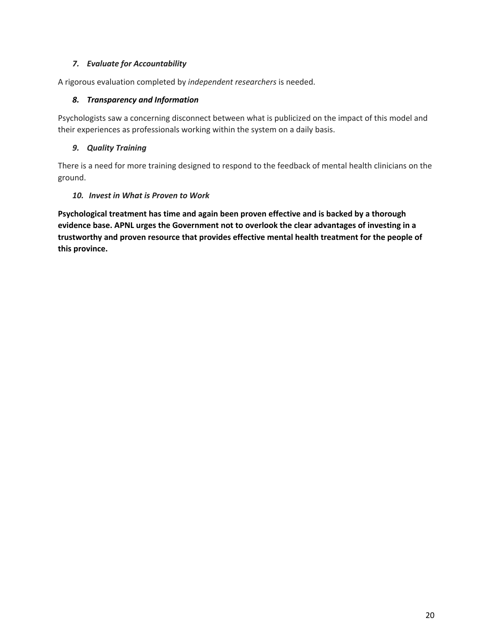# *7. Evaluate for Accountability*

A rigorous evaluation completed by *independent researchers* is needed.

#### *8. Transparency and Information*

Psychologists saw a concerning disconnect between what is publicized on the impact of this model and their experiences as professionals working within the system on a daily basis.

# *9. Quality Training*

There is a need for more training designed to respond to the feedback of mental health clinicians on the ground.

# *10. Invest in What is Proven to Work*

**Psychological treatment has time and again been proven effective and is backed by a thorough evidence base. APNL urges the Government not to overlook the clear advantages of investing in a trustworthy and proven resource that provides effective mental health treatment for the people of this province.**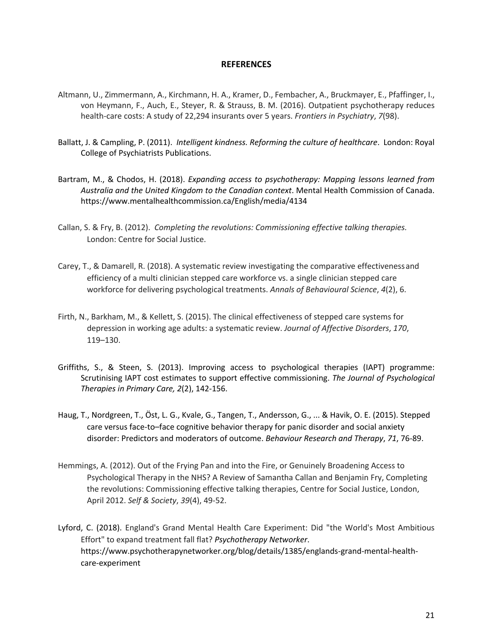#### **REFERENCES**

- Altmann, U., Zimmermann, A., Kirchmann, H. A., Kramer, D., Fembacher, A., Bruckmayer, E., Pfaffinger, I., von Heymann, F., Auch, E., Steyer, R. & Strauss, B. M. (2016). Outpatient psychotherapy reduces health-care costs: A study of 22,294 insurants over 5 years. *Frontiers in Psychiatry*, *7*(98).
- Ballatt, J. & Campling, P. (2011). *Intelligent kindness. Reforming the culture of healthcare*. London: Royal College of Psychiatrists Publications.
- Bartram, M., & Chodos, H. (2018). *Expanding access to psychotherapy: Mapping lessons learned from Australia and the United Kingdom to the Canadian context*. Mental Health Commission of Canada. https://www.mentalhealthcommission.ca/English/media/4134
- Callan, S. & Fry, B. (2012). *Completing the revolutions: Commissioning effective talking therapies.* London: Centre for Social Justice.
- Carey, T., & Damarell, R. (2018). A systematic review investigating the comparative effectivenessand efficiency of a multi clinician stepped care workforce vs. a single clinician stepped care workforce for delivering psychological treatments. *Annals of Behavioural Science*, *4*(2), 6.
- Firth, N., Barkham, M., & Kellett, S. (2015). The clinical effectiveness of stepped care systems for depression in working age adults: a systematic review. *Journal of Affective Disorders*, *170*, 119–130.
- Griffiths, S., & Steen, S. (2013). Improving access to psychological therapies (IAPT) programme: Scrutinising IAPT cost estimates to support effective commissioning. *The Journal of Psychological Therapies in Primary Care, 2*(2), 142-156.
- Haug, T., Nordgreen, T., Öst, L. G., Kvale, G., Tangen, T., Andersson, G., ... & Havik, O. E. (2015). Stepped care versus face-to–face cognitive behavior therapy for panic disorder and social anxiety disorder: Predictors and moderators of outcome. *Behaviour Research and Therapy*, *71*, 76-89.
- Hemmings, A. (2012). Out of the Frying Pan and into the Fire, or Genuinely Broadening Access to Psychological Therapy in the NHS? A Review of Samantha Callan and Benjamin Fry, Completing the revolutions: Commissioning effective talking therapies, Centre for Social Justice, London, April 2012. *Self & Society*, *39*(4), 49-52.
- Lyford, C. (2018). England's Grand Mental Health Care Experiment: Did "the World's Most Ambitious Effort" to expand treatment fall flat? *Psychotherapy Networker*. https://www.psychotherapynetworker.org/blog/details/1385/englands-grand-mental-healthcare-experiment